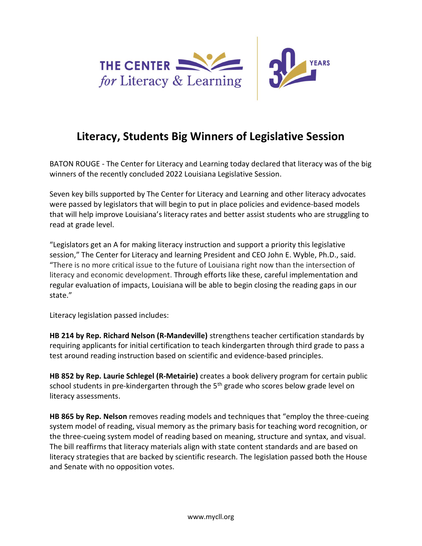

## Literacy, Students Big Winners of Legislative Session

BATON ROUGE - The Center for Literacy and Learning today declared that literacy was of the big winners of the recently concluded 2022 Louisiana Legislative Session.

Seven key bills supported by The Center for Literacy and Learning and other literacy advocates were passed by legislators that will begin to put in place policies and evidence-based models that will help improve Louisiana's literacy rates and better assist students who are struggling to read at grade level.

"Legislators get an A for making literacy instruction and support a priority this legislative session," The Center for Literacy and learning President and CEO John E. Wyble, Ph.D., said. "There is no more critical issue to the future of Louisiana right now than the intersection of literacy and economic development. Through efforts like these, careful implementation and regular evaluation of impacts, Louisiana will be able to begin closing the reading gaps in our state."

Literacy legislation passed includes:

HB 214 by Rep. Richard Nelson (R-Mandeville) strengthens teacher certification standards by requiring applicants for initial certification to teach kindergarten through third grade to pass a test around reading instruction based on scientific and evidence-based principles.

HB 852 by Rep. Laurie Schlegel (R-Metairie) creates a book delivery program for certain public school students in pre-kindergarten through the  $5<sup>th</sup>$  grade who scores below grade level on literacy assessments.

HB 865 by Rep. Nelson removes reading models and techniques that "employ the three-cueing system model of reading, visual memory as the primary basis for teaching word recognition, or the three-cueing system model of reading based on meaning, structure and syntax, and visual. The bill reaffirms that literacy materials align with state content standards and are based on literacy strategies that are backed by scientific research. The legislation passed both the House and Senate with no opposition votes.